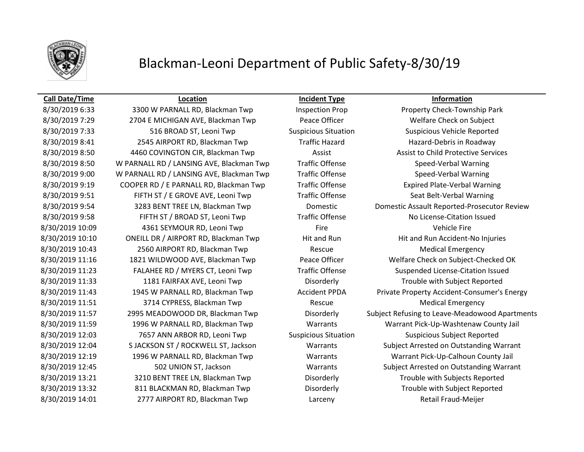

# Blackman-Leoni Department of Public Safety-8/30/19

### **Call Date/Time Location Incident Type Information**

8/30/2019 7:29 2704 E MICHIGAN AVE, Blackman Twp Peace Officer Welfare Check on Subject 8/30/2019 7:33 516 BROAD ST, Leoni Twp Suspicious Situation Suspicious Vehicle Reported 8/30/2019 8:41 2545 AIRPORT RD, Blackman Twp Traffic Hazard Hazard-Debris in Roadway 8/30/2019 8:50 4460 COVINGTON CIR, Blackman Twp Assist Assist Assist to Child Protective Services 8/30/2019 8:50 W PARNALL RD / LANSING AVE, Blackman Twp Traffic Offense Speed-Verbal Warning 8/30/2019 9:00 W PARNALL RD / LANSING AVE, Blackman Twp Traffic Offense Speed-Verbal Warning 8/30/2019 9:19 COOPER RD / E PARNALL RD, Blackman Twp Traffic Offense Expired Plate-Verbal Warning 8/30/2019 9:51 FIFTH ST / E GROVE AVE, Leoni Twp Traffic Offense Seat Belt-Verbal Warning 8/30/2019 9:58 FIFTH ST / BROAD ST, Leoni Twp Traffic Offense No License-Citation Issued 8/30/2019 10:09 4361 SEYMOUR RD, Leoni Twp Fire Fire Fire Vehicle Fire 8/30/2019 10:10 ONEILL DR / AIRPORT RD, Blackman Twp Hit and Run Hit and Run Hit and Run Accident-No Injuries 8/30/2019 10:43 2560 AIRPORT RD, Blackman Twp Rescue Rescue Medical Emergency 8/30/2019 11:23 FALAHEE RD / MYERS CT, Leoni Twp Traffic Offense Suspended License-Citation Issued 8/30/2019 11:33 1181 FAIRFAX AVE, Leoni Twp Disorderly Trouble with Subject Reported 8/30/2019 11:51 3714 CYPRESS, Blackman Twp Rescue Medical Emergency 8/30/2019 12:03 7657 ANN ARBOR RD, Leoni Twp Suspicious Situation Suspicious Subject Reported 8/30/2019 12:19 1996 W PARNALL RD, Blackman Twp Warrants Warrant Pick-Up-Calhoun County Jail 8/30/2019 13:21 3210 BENT TREE LN, Blackman Twp Disorderly Disorderly Trouble with Subjects Reported 8/30/2019 13:32 811 BLACKMAN RD, Blackman Twp Disorderly Trouble with Subject Reported 8/30/2019 14:01 2777 AIRPORT RD, Blackman Twp Larceny Retail Fraud-Meijer

8/30/2019 6:33 3300 W PARNALL RD, Blackman Twp Inspection Prop Property Check-Township Park 8/30/2019 9:54 3283 BENT TREE LN, Blackman Twp Domestic Domestic Domestic Assault Reported-Prosecutor Review 8/30/2019 11:16 1821 WILDWOOD AVE, Blackman Twp Peace Officer Welfare Check on Subject-Checked OK 8/30/2019 11:43 1945 W PARNALL RD, Blackman Twp **Accident PPDA** Private Property Accident-Consumer's Energy 8/30/2019 11:57 2995 MEADOWOOD DR, Blackman Twp Disorderly Subject Refusing to Leave-Meadowood Apartments 8/30/2019 11:59 1996 W PARNALL RD, Blackman Twp Warrants Warrant Pick-Up-Washtenaw County Jail 8/30/2019 12:04 S JACKSON ST / ROCKWELL ST, Jackson Warrants Subject Arrested on Outstanding Warrant 8/30/2019 12:45 502 UNION ST, Jackson Warrants Subject Arrested on Outstanding Warrant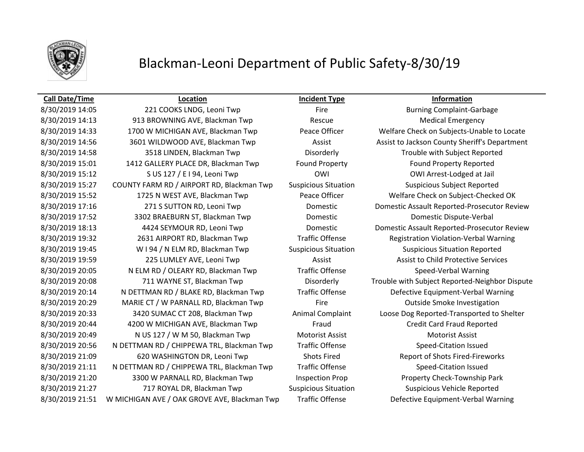

# Blackman-Leoni Department of Public Safety-8/30/19

### **Call Date/Time Location Incident Type Information**

8/30/2019 14:13 913 BROWNING AVE, Blackman Twp Rescue Rescue Medical Emergency 8/30/2019 14:33 1700 W MICHIGAN AVE, Blackman Twp Peace Officer Welfare Check on Subjects-Unable to Locate 8/30/2019 14:56 3601 WILDWOOD AVE, Blackman Twp **Assist Assist Assist Learning Assist County Sheriff's Department** 8/30/2019 14:58 3518 LINDEN, Blackman Twp Disorderly Trouble with Subject Reported 8/30/2019 15:01 1412 GALLERY PLACE DR, Blackman Twp Found Property Found Property Reported 8/30/2019 15:12 S US 127 / E I 94, Leoni Twp CWI CWI CWI CWI Arrest-Lodged at Jail 8/30/2019 15:27 COUNTY FARM RD / AIRPORT RD, Blackman Twp Suspicious Situation Suspicious Subject Reported 8/30/2019 15:52 1725 N WEST AVE, Blackman Twp Peace Officer Welfare Check on Subject-Checked OK 8/30/2019 17:16 271 S SUTTON RD, Leoni Twp Domestic Domestic Domestic Assault Reported-Prosecutor Review 8/30/2019 17:52 3302 BRAEBURN ST, Blackman Twp Domestic Domestic Dispute-Verbal 8/30/2019 18:13 4424 SEYMOUR RD, Leoni Twp Domestic Domestic Domestic Assault Reported-Prosecutor Review 8/30/2019 19:32 2631 AIRPORT RD, Blackman Twp Traffic Offense Registration Violation-Verbal Warning 8/30/2019 19:45 W I 94 / N ELM RD, Blackman Twp Suspicious Situation Suspicious Situation Reported 8/30/2019 19:59 225 LUMLEY AVE, Leoni Twp Assist Assist Assist Assist to Child Protective Services 8/30/2019 20:05 N ELM RD / OLEARY RD, Blackman Twp Traffic Offense Speed-Verbal Warning 8/30/2019 20:08 711 WAYNE ST, Blackman Twp Disorderly Trouble with Subject Reported-Neighbor Dispute 8/30/2019 20:14 N DETTMAN RD / BLAKE RD, Blackman Twp Traffic Offense Defective Equipment-Verbal Warning 8/30/2019 20:29 MARIE CT / W PARNALL RD, Blackman Twp Fire Fire Outside Smoke Investigation 8/30/2019 20:33 3420 SUMAC CT 208, Blackman Twp Animal Complaint Loose Dog Reported-Transported to Shelter 8/30/2019 20:44 4200 W MICHIGAN AVE, Blackman Twp Fraud Credit Card Fraud Reported 8/30/2019 20:49 N US 127 / W M 50, Blackman Twp Motorist Assist Motorist Assist Motorist Assist 8/30/2019 20:56 N DETTMAN RD / CHIPPEWA TRL, Blackman Twp Traffic Offense Speed-Citation Issued 8/30/2019 21:09 620 WASHINGTON DR, Leoni Twp Shots Fired Report of Shots Fired-Fireworks 8/30/2019 21:11 N DETTMAN RD / CHIPPEWA TRL, Blackman Twp Traffic Offense Speed-Citation Issued 8/30/2019 21:20 3300 W PARNALL RD, Blackman Twp Inspection Prop Property Check-Township Park 8/30/2019 21:27 **717 ROYAL DR, Blackman Twp** Suspicious Situation Suspicious Vehicle Reported 8/30/2019 21:51 W MICHIGAN AVE / OAK GROVE AVE, Blackman Twp Traffic Offense Defective Equipment-Verbal Warning

8/30/2019 14:05 221 COOKS LNDG, Leoni Twp Fire Fire Burning Complaint-Garbage